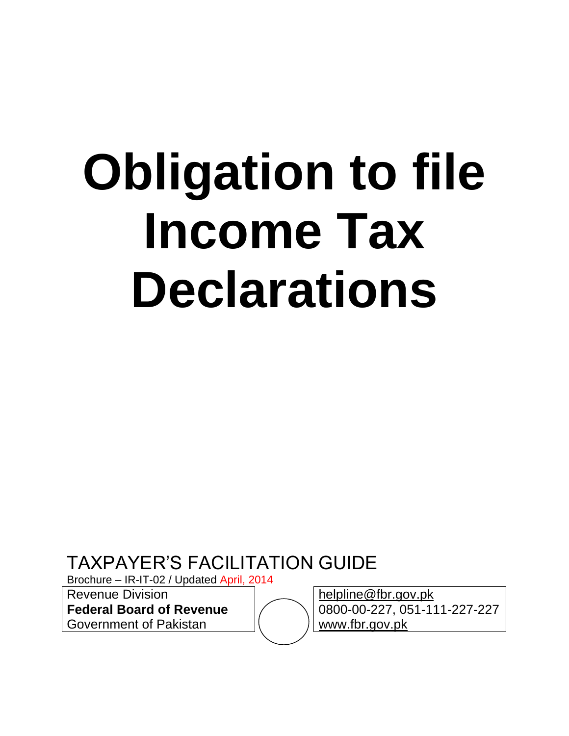# **Obligation to file Income Tax Declarations**

TAXPAYER"S FACILITATION GUIDE

Brochure – IR-IT-02 / Updated April, 2014

Revenue Division **Federal Board of Revenue**

Government of Pakistan

[helpline@fbr.gov.pk](mailto:helpline@fbr.gov.pk) 0800-00-227, 051-111-227-227 [www.fbr.gov.pk](http://www.fbr.gov.pk/)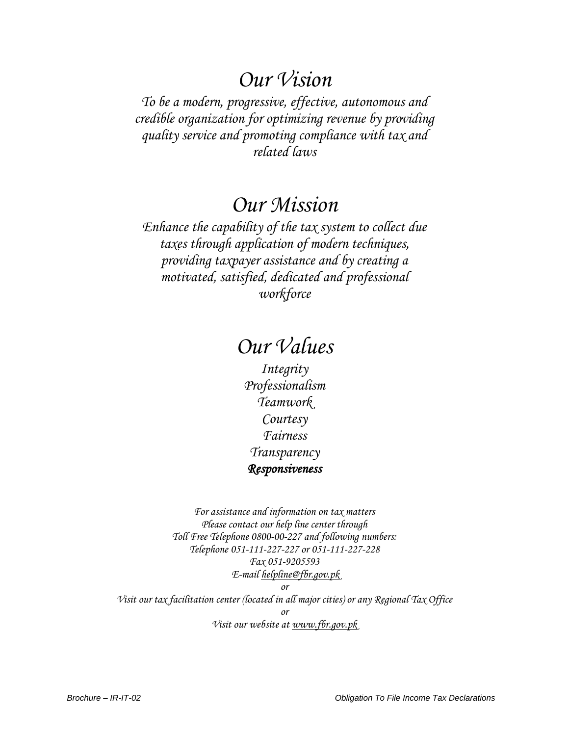## *Our Vision*

*To be a modern, progressive, effective, autonomous and credible organization for optimizing revenue by providing quality service and promoting compliance with tax and related laws*

## *Our Mission*

*Enhance the capability of the tax system to collect due taxes through application of modern techniques, providing taxpayer assistance and by creating a motivated, satisfied, dedicated and professional workforce*

# *Our Values*

*Integrity Professionalism Teamwork Courtesy Fairness Transparency Responsiveness* 

*For assistance and information on tax matters Please contact our help line center through Toll Free Telephone 0800-00-227 and following numbers: Telephone 051-111-227-227 or 051-111-227-228 Fax 051-9205593 E-mail [helpline@fbr.gov.pk](mailto:helpline@fbr.gov.pk) or*

*Visit our tax facilitation center (located in all major cities) or any Regional Tax Office or Visit our website at [www.fbr.gov.pk](http://www.fbr.gov.pk/)*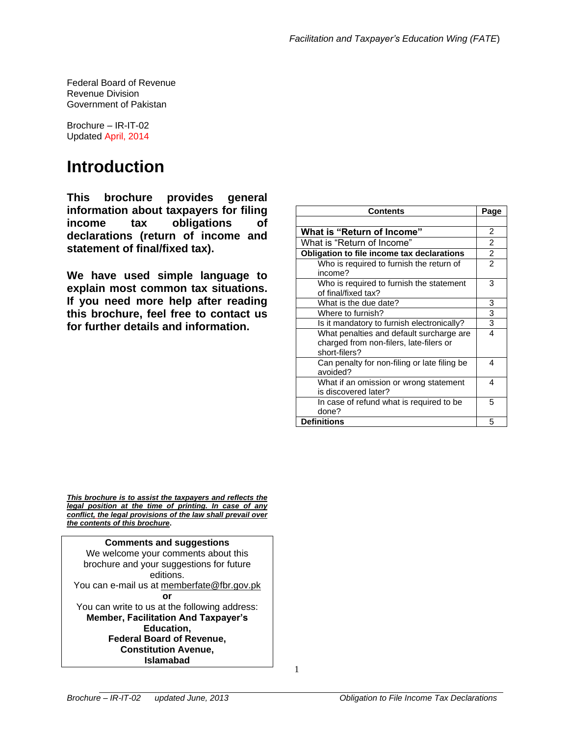Federal Board of Revenue Revenue Division Government of Pakistan

Brochure – IR-IT-02 Updated April, 2014

# **Introduction**

**This brochure provides general information about taxpayers for filing income tax obligations of declarations (return of income and statement of final/fixed tax).**

**We have used simple language to explain most common tax situations. If you need more help after reading this brochure, feel free to contact us for further details and information.**

| <b>Contents</b>                                                                                      | Page           |
|------------------------------------------------------------------------------------------------------|----------------|
|                                                                                                      |                |
| <b>What is "Return of Income"</b>                                                                    | $\overline{2}$ |
| What is "Return of Income"                                                                           | $\overline{2}$ |
| Obligation to file income tax declarations                                                           | $\overline{2}$ |
| Who is required to furnish the return of<br>income?                                                  | $\overline{2}$ |
| Who is required to furnish the statement<br>of final/fixed tax?                                      | 3              |
| What is the due date?                                                                                | 3              |
| Where to furnish?                                                                                    | 3              |
| Is it mandatory to furnish electronically?                                                           | 3              |
| What penalties and default surcharge are<br>charged from non-filers, late-filers or<br>short-filers? | 4              |
| Can penalty for non-filing or late filing be<br>avoided?                                             | 4              |
| What if an omission or wrong statement<br>is discovered later?                                       | 4              |
| In case of refund what is required to be<br>done?                                                    | 5              |
| <b>Definitions</b>                                                                                   | 5              |

*This brochure is to assist the taxpayers and reflects the legal position at the time of printing. In case of any conflict, the legal provisions of the law shall prevail over the contents of this brochure***.**

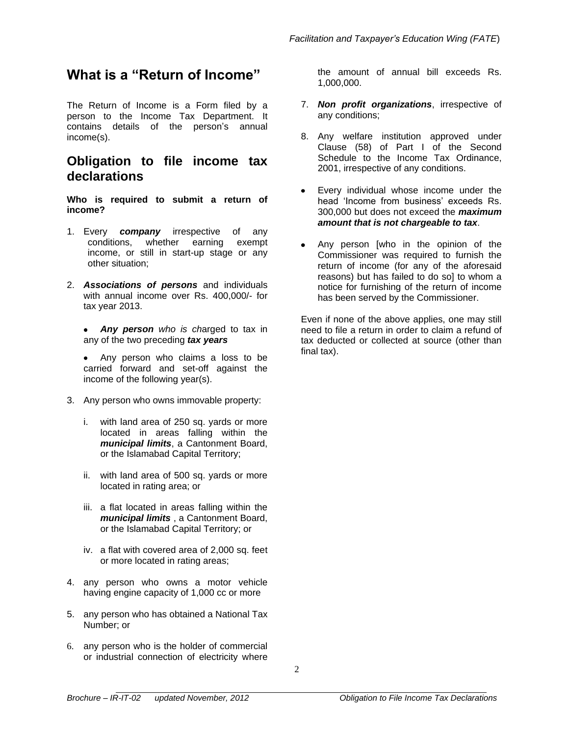## **What is a "Return of Income"**

The Return of Income is a Form filed by a person to the Income Tax Department. It contains details of the person's annual income(s).

### **Obligation to file income tax declarations**

**Who is required to submit a return of income?**

- 1. Every *company* irrespective of any conditions, whether earning exempt income, or still in start-up stage or any other situation;
- 2. *Associations of persons* and individuals with annual income over Rs. 400,000/- for tax year 2013.

*Any person who is ch*arged to tax in any of the two preceding *tax years*

Any person who claims a loss to be carried forward and set-off against the income of the following year(s).

- 3. Any person who owns immovable property:
	- i. with land area of 250 sq. yards or more located in areas falling within the *municipal limits*, a Cantonment Board, or the Islamabad Capital Territory;
	- ii. with land area of 500 sq. yards or more located in rating area; or
	- iii. a flat located in areas falling within the *municipal limits* , a Cantonment Board, or the Islamabad Capital Territory; or
	- iv. a flat with covered area of 2,000 sq. feet or more located in rating areas;
- 4. any person who owns a motor vehicle having engine capacity of 1,000 cc or more
- 5. any person who has obtained a National Tax Number; or
- 6. any person who is the holder of commercial or industrial connection of electricity where

the amount of annual bill exceeds Rs. 1,000,000.

- 7. *Non profit organizations*, irrespective of any conditions;
- 8. Any welfare institution approved under Clause (58) of Part I of the Second Schedule to the Income Tax Ordinance, 2001, irrespective of any conditions.
- Every individual whose income under the  $\bullet$ head 'Income from business' exceeds Rs. 300,000 but does not exceed the *maximum amount that is not chargeable to tax*.
- Any person [who in the opinion of the Commissioner was required to furnish the return of income (for any of the aforesaid reasons) but has failed to do so] to whom a notice for furnishing of the return of income has been served by the Commissioner.

Even if none of the above applies, one may still need to file a return in order to claim a refund of tax deducted or collected at source (other than final tax).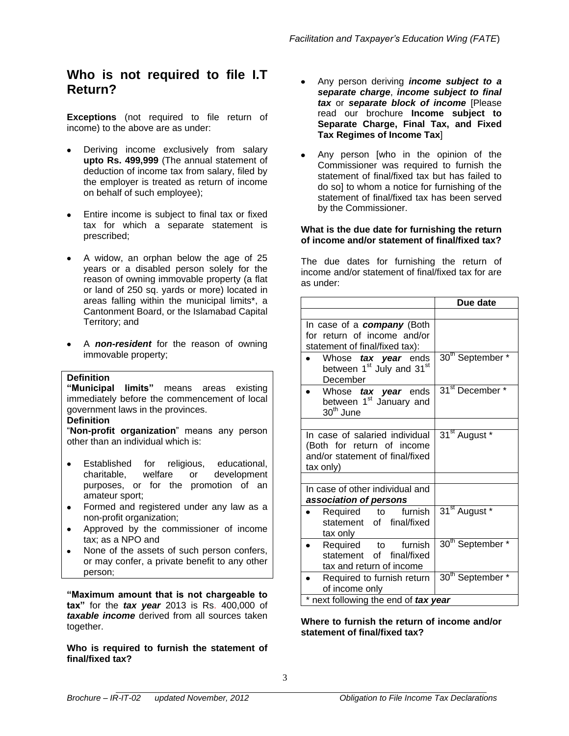## **Who is not required to file I.T Return?**

**Exceptions** (not required to file return of income) to the above are as under:

- Deriving income exclusively from salary **upto Rs. 499,999** (The annual statement of deduction of income tax from salary, filed by the employer is treated as return of income on behalf of such employee);
- Entire income is subject to final tax or fixed tax for which a separate statement is prescribed;
- A widow, an orphan below the age of 25 years or a disabled person solely for the reason of owning immovable property (a flat or land of 250 sq. yards or more) located in areas falling within the municipal limits\*, a Cantonment Board, or the Islamabad Capital Territory; and
- A *non-resident* for the reason of owning immovable property;

#### **Definition**

**"Municipal limits"** means areas existing immediately before the commencement of local government laws in the provinces.

#### **Definition**

"**Non-profit organization**" means any person other than an individual which is:

- $\bullet$ Established for religious, educational, charitable, welfare or development purposes, or for the promotion of an amateur sport;
- Formed and registered under any law as a non-profit organization;
- Approved by the commissioner of income  $\bullet$ tax; as a NPO and
- None of the assets of such person confers, or may confer, a private benefit to any other person;

**"Maximum amount that is not chargeable to tax"** for the *tax year* 2013 is Rs. 400,000 of *taxable income* derived from all sources taken together.

**Who is required to furnish the statement of final/fixed tax?**

- Any person deriving *income subject to a separate charge*, *income subject to final tax* or *separate block of income* [Please read our brochure **Income subject to Separate Charge, Final Tax, and Fixed Tax Regimes of Income Tax**]
- Any person [who in the opinion of the Commissioner was required to furnish the statement of final/fixed tax but has failed to do so] to whom a notice for furnishing of the statement of final/fixed tax has been served by the Commissioner.

#### **What is the due date for furnishing the return of income and/or statement of final/fixed tax?**

The due dates for furnishing the return of income and/or statement of final/fixed tax for are as under:

| In case of a <b>company</b> (Both                                                                            |                              |
|--------------------------------------------------------------------------------------------------------------|------------------------------|
|                                                                                                              |                              |
| for return of income and/or<br>statement of final/fixed tax):                                                |                              |
| Whose tax year ends<br>between 1 <sup>st</sup> July and 31 <sup>st</sup><br>December                         | 30 <sup>th</sup> September * |
| Whose tax year ends<br>between 1 <sup>st</sup> January and<br>30 <sup>th</sup> June                          | 31 <sup>st</sup> December *  |
| In case of salaried individual<br>(Both for return of income<br>and/or statement of final/fixed<br>tax only) | 31 <sup>st</sup> August *    |
| In case of other individual and<br>association of persons                                                    |                              |
| Required to furnish<br>statement of final/fixed<br>tax only                                                  | 31 <sup>st</sup> August *    |
| Required to furnish<br>statement of final/fixed<br>tax and return of income                                  | 30 <sup>th</sup> September * |
| Required to furnish return<br>of income only<br>* next following the end of tax year                         | 30 <sup>th</sup> September * |

**Where to furnish the return of income and/or statement of final/fixed tax?**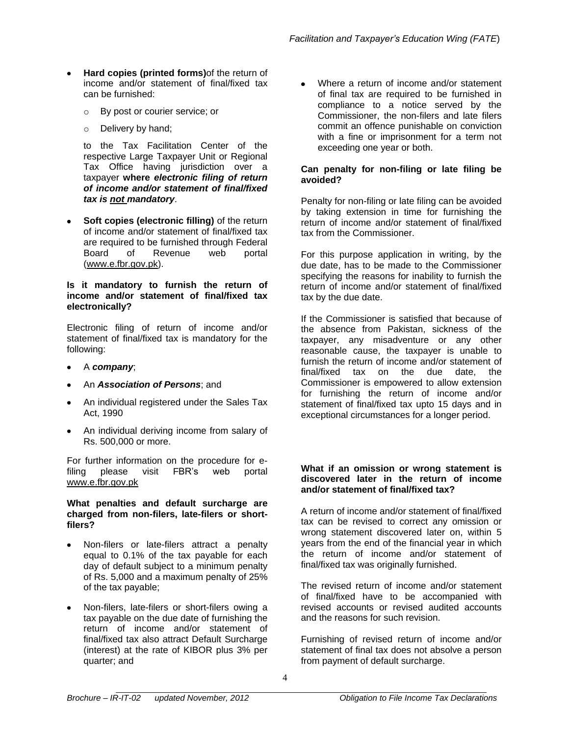- **Hard copies (printed forms)**of the return of income and/or statement of final/fixed tax can be furnished:
	- o By post or courier service; or
	- o Delivery by hand;

to the Tax Facilitation Center of the respective Large Taxpayer Unit or Regional Tax Office having jurisdiction over a taxpayer **where** *electronic filing of return of income and/or statement of final/fixed tax is not mandatory*.

**Soft copies (electronic filling)** of the return of income and/or statement of final/fixed tax are required to be furnished through Federal Board of Revenue web portal [\(www.e.fbr.gov.pk\)](http://www.e.fbr.gov.pk/).

#### **Is it mandatory to furnish the return of income and/or statement of final/fixed tax electronically?**

Electronic filing of return of income and/or statement of final/fixed tax is mandatory for the following:

- A *company*;
- An *Association of Persons*; and
- An individual registered under the Sales Tax Act, 1990
- An individual deriving income from salary of Rs. 500,000 or more.

For further information on the procedure for efiling please visit FBR"s web portal [www.e.fbr.gov.pk](http://www.e.fbr.gov.pk/)

#### **What penalties and default surcharge are charged from non-filers, late-filers or shortfilers?**

- Non-filers or late-filers attract a penalty equal to 0.1% of the tax payable for each day of default subject to a minimum penalty of Rs. 5,000 and a maximum penalty of 25% of the tax payable;
- Non-filers, late-filers or short-filers owing a tax payable on the due date of furnishing the return of income and/or statement of final/fixed tax also attract Default Surcharge (interest) at the rate of KIBOR plus 3% per quarter; and

Where a return of income and/or statement of final tax are required to be furnished in compliance to a notice served by the Commissioner, the non-filers and late filers commit an offence punishable on conviction with a fine or imprisonment for a term not exceeding one year or both.

#### **Can penalty for non-filing or late filing be avoided?**

Penalty for non-filing or late filing can be avoided by taking extension in time for furnishing the return of income and/or statement of final/fixed tax from the Commissioner.

For this purpose application in writing, by the due date, has to be made to the Commissioner specifying the reasons for inability to furnish the return of income and/or statement of final/fixed tax by the due date.

If the Commissioner is satisfied that because of the absence from Pakistan, sickness of the taxpayer, any misadventure or any other reasonable cause, the taxpayer is unable to furnish the return of income and/or statement of final/fixed tax on the due date, the Commissioner is empowered to allow extension for furnishing the return of income and/or statement of final/fixed tax upto 15 days and in exceptional circumstances for a longer period.

#### **What if an omission or wrong statement is discovered later in the return of income and/or statement of final/fixed tax?**

A return of income and/or statement of final/fixed tax can be revised to correct any omission or wrong statement discovered later on, within 5 years from the end of the financial year in which the return of income and/or statement of final/fixed tax was originally furnished.

The revised return of income and/or statement of final/fixed have to be accompanied with revised accounts or revised audited accounts and the reasons for such revision.

Furnishing of revised return of income and/or statement of final tax does not absolve a person from payment of default surcharge.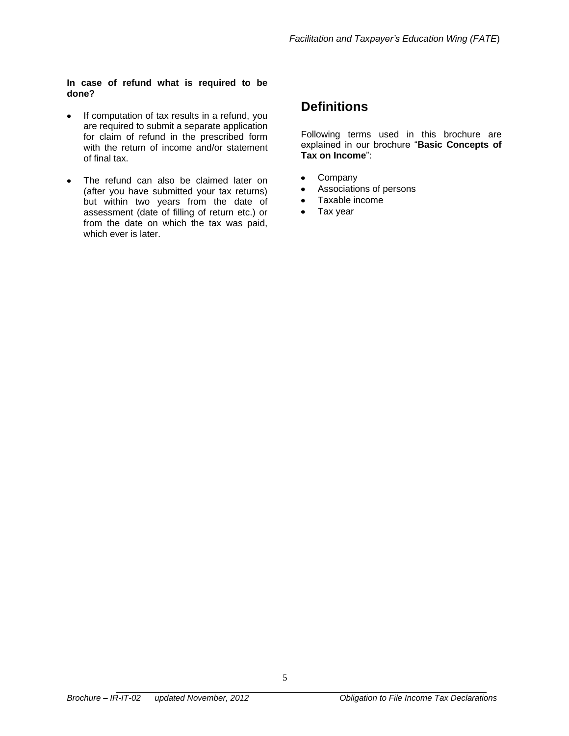#### **In case of refund what is required to be done?**

- If computation of tax results in a refund, you  $\bullet$ are required to submit a separate application for claim of refund in the prescribed form with the return of income and/or statement of final tax.
- The refund can also be claimed later on  $\bullet$ (after you have submitted your tax returns) but within two years from the date of assessment (date of filling of return etc.) or from the date on which the tax was paid, which ever is later.

## **Definitions**

Following terms used in this brochure are explained in our brochure "**Basic Concepts of Tax on Income**":

- Company  $\bullet$
- Associations of persons  $\bullet$
- Taxable income  $\bullet$
- $\bullet$ Tax year